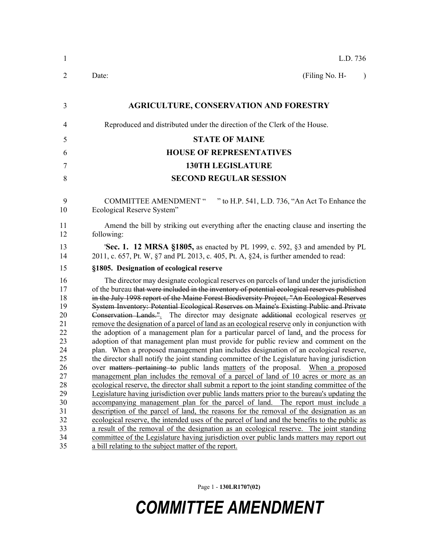| $\mathbf{1}$                                                                                 | L.D. 736                                                                                                                                                                                                                                                                                                                                                                                                                                                                                                                                                                                                                                                                                                                                                                                                                                                                                                                                                                                                                                                                                                                                                                                                                                                                                                                                                                                                                                                                                                             |
|----------------------------------------------------------------------------------------------|----------------------------------------------------------------------------------------------------------------------------------------------------------------------------------------------------------------------------------------------------------------------------------------------------------------------------------------------------------------------------------------------------------------------------------------------------------------------------------------------------------------------------------------------------------------------------------------------------------------------------------------------------------------------------------------------------------------------------------------------------------------------------------------------------------------------------------------------------------------------------------------------------------------------------------------------------------------------------------------------------------------------------------------------------------------------------------------------------------------------------------------------------------------------------------------------------------------------------------------------------------------------------------------------------------------------------------------------------------------------------------------------------------------------------------------------------------------------------------------------------------------------|
| 2                                                                                            | (Filing No. H-<br>Date:<br>$\lambda$                                                                                                                                                                                                                                                                                                                                                                                                                                                                                                                                                                                                                                                                                                                                                                                                                                                                                                                                                                                                                                                                                                                                                                                                                                                                                                                                                                                                                                                                                 |
| 3                                                                                            | <b>AGRICULTURE, CONSERVATION AND FORESTRY</b>                                                                                                                                                                                                                                                                                                                                                                                                                                                                                                                                                                                                                                                                                                                                                                                                                                                                                                                                                                                                                                                                                                                                                                                                                                                                                                                                                                                                                                                                        |
| 4                                                                                            | Reproduced and distributed under the direction of the Clerk of the House.                                                                                                                                                                                                                                                                                                                                                                                                                                                                                                                                                                                                                                                                                                                                                                                                                                                                                                                                                                                                                                                                                                                                                                                                                                                                                                                                                                                                                                            |
| 5                                                                                            | <b>STATE OF MAINE</b>                                                                                                                                                                                                                                                                                                                                                                                                                                                                                                                                                                                                                                                                                                                                                                                                                                                                                                                                                                                                                                                                                                                                                                                                                                                                                                                                                                                                                                                                                                |
| 6                                                                                            | <b>HOUSE OF REPRESENTATIVES</b>                                                                                                                                                                                                                                                                                                                                                                                                                                                                                                                                                                                                                                                                                                                                                                                                                                                                                                                                                                                                                                                                                                                                                                                                                                                                                                                                                                                                                                                                                      |
| 7                                                                                            | <b>130TH LEGISLATURE</b>                                                                                                                                                                                                                                                                                                                                                                                                                                                                                                                                                                                                                                                                                                                                                                                                                                                                                                                                                                                                                                                                                                                                                                                                                                                                                                                                                                                                                                                                                             |
| 8                                                                                            | <b>SECOND REGULAR SESSION</b>                                                                                                                                                                                                                                                                                                                                                                                                                                                                                                                                                                                                                                                                                                                                                                                                                                                                                                                                                                                                                                                                                                                                                                                                                                                                                                                                                                                                                                                                                        |
| 9<br>10                                                                                      | " to H.P. 541, L.D. 736, "An Act To Enhance the<br><b>COMMITTEE AMENDMENT "</b><br>Ecological Reserve System"                                                                                                                                                                                                                                                                                                                                                                                                                                                                                                                                                                                                                                                                                                                                                                                                                                                                                                                                                                                                                                                                                                                                                                                                                                                                                                                                                                                                        |
| 11<br>12                                                                                     | Amend the bill by striking out everything after the enacting clause and inserting the<br>following:                                                                                                                                                                                                                                                                                                                                                                                                                                                                                                                                                                                                                                                                                                                                                                                                                                                                                                                                                                                                                                                                                                                                                                                                                                                                                                                                                                                                                  |
| 13<br>14                                                                                     | <b>Sec. 1. 12 MRSA §1805,</b> as enacted by PL 1999, c. 592, §3 and amended by PL<br>2011, c. 657, Pt. W, §7 and PL 2013, c. 405, Pt. A, §24, is further amended to read:                                                                                                                                                                                                                                                                                                                                                                                                                                                                                                                                                                                                                                                                                                                                                                                                                                                                                                                                                                                                                                                                                                                                                                                                                                                                                                                                            |
| 15                                                                                           | §1805. Designation of ecological reserve                                                                                                                                                                                                                                                                                                                                                                                                                                                                                                                                                                                                                                                                                                                                                                                                                                                                                                                                                                                                                                                                                                                                                                                                                                                                                                                                                                                                                                                                             |
| 16<br>17<br>18<br>19<br>20<br>21<br>22<br>23<br>24<br>25<br>26<br>27<br>28<br>29<br>30<br>31 | The director may designate ecological reserves on parcels of land under the jurisdiction<br>of the bureau that were included in the inventory of potential ecological reserves published<br>in the July 1998 report of the Maine Forest Biodiversity Project, "An Ecological Reserves<br>System Inventory: Potential Ecological Reserves on Maine's Existing Public and Private<br>Conservation Lands. <sup>11</sup> . The director may designate additional ecological reserves or<br>remove the designation of a parcel of land as an ecological reserve only in conjunction with<br>the adoption of a management plan for a particular parcel of land, and the process for<br>adoption of that management plan must provide for public review and comment on the<br>plan. When a proposed management plan includes designation of an ecological reserve,<br>the director shall notify the joint standing committee of the Legislature having jurisdiction<br>over matters pertaining to public lands matters of the proposal. When a proposed<br>management plan includes the removal of a parcel of land of 10 acres or more as an<br>ecological reserve, the director shall submit a report to the joint standing committee of the<br>Legislature having jurisdiction over public lands matters prior to the bureau's updating the<br>accompanying management plan for the parcel of land. The report must include a<br>description of the parcel of land, the reasons for the removal of the designation as an |
| 32<br>33<br>34<br>35                                                                         | ecological reserve, the intended uses of the parcel of land and the benefits to the public as<br>a result of the removal of the designation as an ecological reserve. The joint standing<br>committee of the Legislature having jurisdiction over public lands matters may report out<br>a bill relating to the subject matter of the report.                                                                                                                                                                                                                                                                                                                                                                                                                                                                                                                                                                                                                                                                                                                                                                                                                                                                                                                                                                                                                                                                                                                                                                        |
|                                                                                              |                                                                                                                                                                                                                                                                                                                                                                                                                                                                                                                                                                                                                                                                                                                                                                                                                                                                                                                                                                                                                                                                                                                                                                                                                                                                                                                                                                                                                                                                                                                      |

Page 1 - **130LR1707(02)**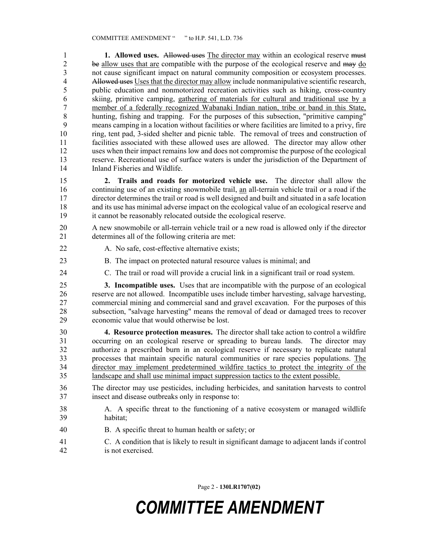1 **1. Allowed uses.** Allowed uses The director may within an ecological reserve must 2 be <u>allow uses that are</u> compatible with the purpose of the ecological reserve and may <u>do</u><br>3 not cause significant impact on natural community composition or ecosystem processes. not cause significant impact on natural community composition or ecosystem processes. 4 Allowed uses Uses that the director may allow include nonmanipulative scientific research, 5 public education and nonmotorized recreation activities such as hiking, cross-country 6 skiing, primitive camping, gathering of materials for cultural and traditional use by a 7 member of a federally recognized Wabanaki Indian nation, tribe or band in this State, 8 hunting, fishing and trapping. For the purposes of this subsection, "primitive camping" 9 means camping in a location without facilities or where facilities are limited to a privy, fire 10 ring, tent pad, 3-sided shelter and picnic table. The removal of trees and construction of 11 facilities associated with these allowed uses are allowed. The director may allow other 12 uses when their impact remains low and does not compromise the purpose of the ecological 13 reserve. Recreational use of surface waters is under the jurisdiction of the Department of 14 Inland Fisheries and Wildlife.

15 **2. Trails and roads for motorized vehicle use.** The director shall allow the 16 continuing use of an existing snowmobile trail, an all-terrain vehicle trail or a road if the 17 director determines the trail or road is well designed and built and situated in a safe location 18 and its use has minimal adverse impact on the ecological value of an ecological reserve and 19 it cannot be reasonably relocated outside the ecological reserve.

20 A new snowmobile or all-terrain vehicle trail or a new road is allowed only if the director 21 determines all of the following criteria are met:

- 
- 22 A. No safe, cost-effective alternative exists;
- 23 B. The impact on protected natural resource values is minimal; and
- 24 C. The trail or road will provide a crucial link in a significant trail or road system.

25 **3. Incompatible uses.** Uses that are incompatible with the purpose of an ecological 26 reserve are not allowed. Incompatible uses include timber harvesting, salvage harvesting, 27 commercial mining and commercial sand and gravel excavation. For the purposes of this 28 subsection, "salvage harvesting" means the removal of dead or damaged trees to recover 29 economic value that would otherwise be lost.

30 **4. Resource protection measures.** The director shall take action to control a wildfire 31 occurring on an ecological reserve or spreading to bureau lands. The director may 32 authorize a prescribed burn in an ecological reserve if necessary to replicate natural 33 processes that maintain specific natural communities or rare species populations. The 34 director may implement predetermined wildfire tactics to protect the integrity of the 35 landscape and shall use minimal impact suppression tactics to the extent possible.

- 36 The director may use pesticides, including herbicides, and sanitation harvests to control 37 insect and disease outbreaks only in response to:
- 38 A. A specific threat to the functioning of a native ecosystem or managed wildlife 39 habitat;
- 40 B. A specific threat to human health or safety; or
- 41 C. A condition that is likely to result in significant damage to adjacent lands if control 42 is not exercised.

Page 2 - **130LR1707(02)**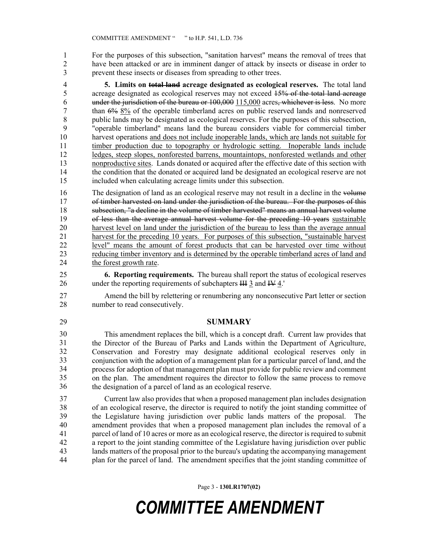1 For the purposes of this subsection, "sanitation harvest" means the removal of trees that 2 have been attacked or are in imminent danger of attack by insects or disease in order to 3 prevent these insects or diseases from spreading to other trees.

4 **5. Limits on total land acreage designated as ecological reserves.** The total land 5 acreage designated as ecological reserves may not exceed 15% of the total land acreage 6 under the jurisdiction of the bureau or 100,000 115,000 acres, whichever is less. No more 7 than 6% 8% of the operable timberland acres on public reserved lands and nonreserved 8 public lands may be designated as ecological reserves. For the purposes of this subsection, 9 "operable timberland" means land the bureau considers viable for commercial timber 10 harvest operations and does not include inoperable lands, which are lands not suitable for 11 timber production due to topography or hydrologic setting. Inoperable lands include 12 ledges, steep slopes, nonforested barrens, mountaintops, nonforested wetlands and other 13 nonproductive sites. Lands donated or acquired after the effective date of this section with 14 the condition that the donated or acquired land be designated an ecological reserve are not 15 included when calculating acreage limits under this subsection.

16 The designation of land as an ecological reserve may not result in a decline in the volume 17 of timber harvested on land under the jurisdiction of the bureau. For the purposes of this 18 subsection, "a decline in the volume of timber harvested" means an annual harvest volume 19 of less than the average annual harvest volume for the preceding 10 years sustainable 20 harvest level on land under the jurisdiction of the bureau to less than the average annual 21 harvest for the preceding 10 years. For purposes of this subsection, "sustainable harvest 22 level" means the amount of forest products that can be harvested over time without 23 reducing timber inventory and is determined by the operable timberland acres of land and 24 the forest growth rate.

25 **6. Reporting requirements.** The bureau shall report the status of ecological reserves 26 under the reporting requirements of subchapters III 3 and IV 4.

27 Amend the bill by relettering or renumbering any nonconsecutive Part letter or section 28 number to read consecutively.

#### 29 **SUMMARY**

This amendment replaces the bill, which is a concept draft. Current law provides that the Director of the Bureau of Parks and Lands within the Department of Agriculture, 32 Conservation and Forestry may designate additional ecological reserves only in conjunction with the adoption of a management plan for a particular parcel of land, and the process for adoption of that management plan must provide for public review and comment 35 on the plan. The amendment requires the director to follow the same process to remove the designation of a parcel of land as an ecological reserve. 30 31 32 33 34 35 36

37 Current law also provides that when a proposed management plan includes designation 38 of an ecological reserve, the director is required to notify the joint standing committee of 39 the Legislature having jurisdiction over public lands matters of the proposal. The 40 amendment provides that when a proposed management plan includes the removal of a 41 parcel of land of 10 acres or more as an ecological reserve, the director is required to submit 42 a report to the joint standing committee of the Legislature having jurisdiction over public 43 lands matters of the proposal prior to the bureau's updating the accompanying management 44 plan for the parcel of land. The amendment specifies that the joint standing committee of

Page 3 - **130LR1707(02)**